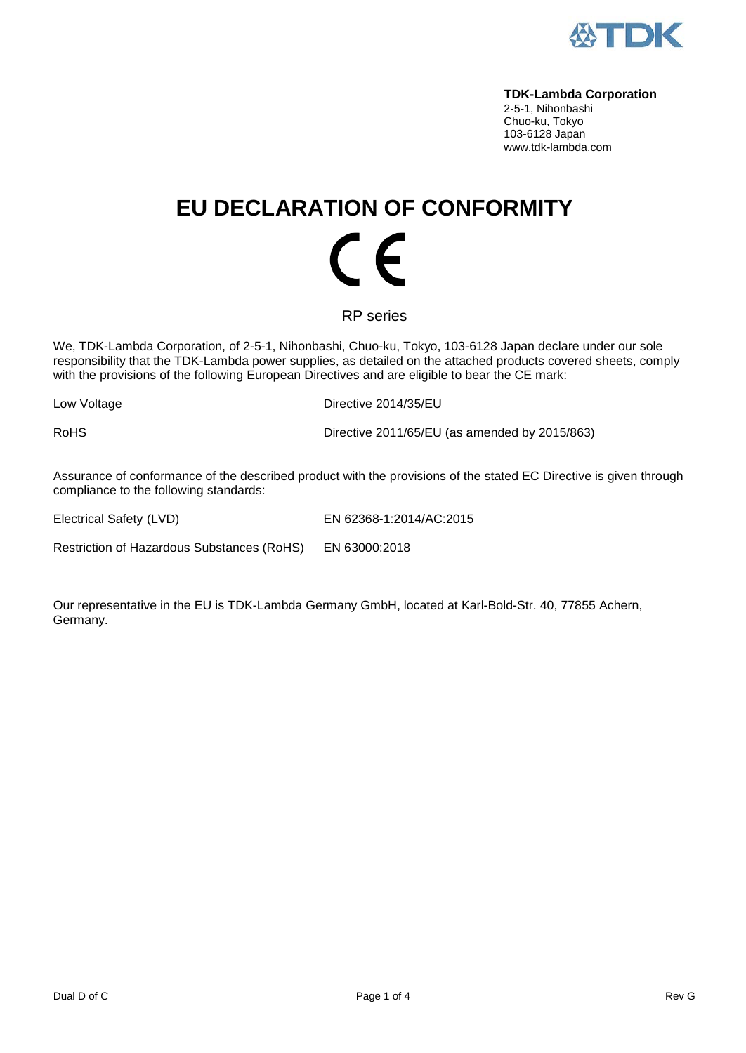

#### **TDK-Lambda Corporation**

2-5-1, Nihonbashi Chuo-ku, Tokyo 103-6128 Japan www.tdk-lambda.com

## **EU DECLARATION OF CONFORMITY**  $\mathcal C$   $\mathcal C$

### RP series

We, TDK-Lambda Corporation, of 2-5-1, Nihonbashi, Chuo-ku, Tokyo, 103-6128 Japan declare under our sole responsibility that the TDK-Lambda power supplies, as detailed on the attached products covered sheets, comply with the provisions of the following European Directives and are eligible to bear the CE mark:

Low Voltage Directive 2014/35/EU

RoHS **Directive 2011/65/EU** (as amended by 2015/863)

Assurance of conformance of the described product with the provisions of the stated EC Directive is given through compliance to the following standards:

Electrical Safety (LVD) EN 62368-1:2014/AC:2015

Restriction of Hazardous Substances (RoHS) EN 63000:2018

Our representative in the EU is TDK-Lambda Germany GmbH, located at Karl-Bold-Str. 40, 77855 Achern, Germany.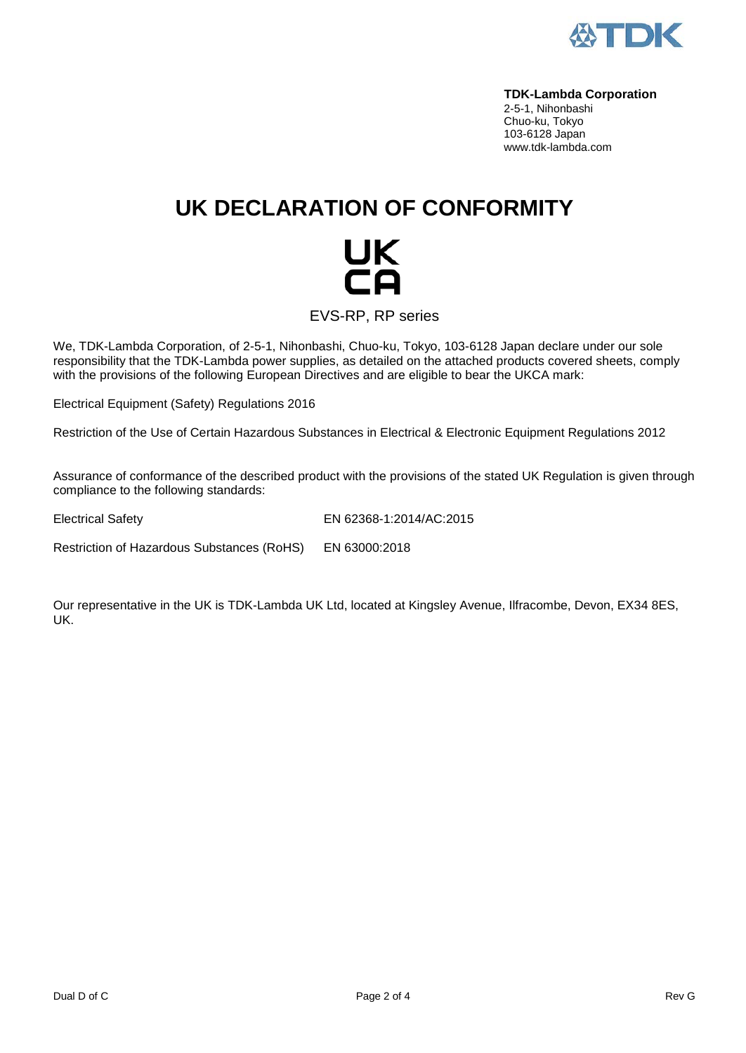

#### **TDK-Lambda Corporation**

2-5-1, Nihonbashi Chuo-ku, Tokyo 103-6128 Japan www.tdk-lambda.com

## **UK DECLARATION OF CONFORMITY**

# UK<br>CO

EVS-RP, RP series

We, TDK-Lambda Corporation, of 2-5-1, Nihonbashi, Chuo-ku, Tokyo, 103-6128 Japan declare under our sole responsibility that the TDK-Lambda power supplies, as detailed on the attached products covered sheets, comply with the provisions of the following European Directives and are eligible to bear the UKCA mark:

Electrical Equipment (Safety) Regulations 2016

Restriction of the Use of Certain Hazardous Substances in Electrical & Electronic Equipment Regulations 2012

Assurance of conformance of the described product with the provisions of the stated UK Regulation is given through compliance to the following standards:

Electrical Safety EN 62368-1:2014/AC:2015

Restriction of Hazardous Substances (RoHS) EN 63000:2018

Our representative in the UK is TDK-Lambda UK Ltd, located at Kingsley Avenue, Ilfracombe, Devon, EX34 8ES, UK.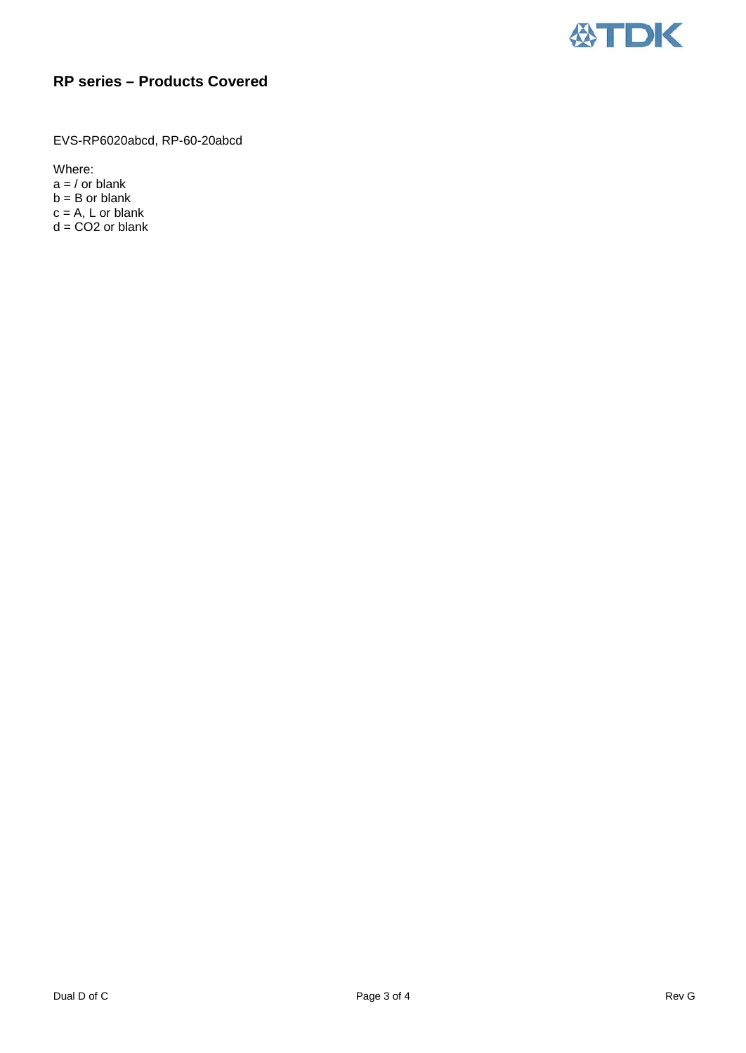

## **RP series – Products Covered**

EVS-RP6020abcd, RP-60-20abcd

Where:

 $a = /$  or blank  $b = B$  or blank  $c = A$ , L or blank  $d = CO2$  or blank